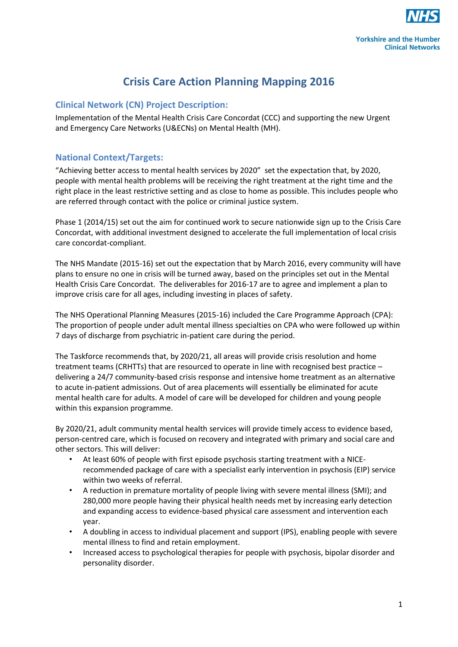

# **Crisis Care Action Planning Mapping 2016**

### **Clinical Network (CN) Project Description:**

Implementation of the Mental Health Crisis Care Concordat (CCC) and supporting the new Urgent and Emergency Care Networks (U&ECNs) on Mental Health (MH).

### **National Context/Targets:**

"Achieving better access to mental health services by 2020" set the expectation that, by 2020, people with mental health problems will be receiving the right treatment at the right time and the right place in the least restrictive setting and as close to home as possible. This includes people who are referred through contact with the police or criminal justice system.

Phase 1 (2014/15) set out the aim for continued work to secure nationwide sign up to the Crisis Care Concordat, with additional investment designed to accelerate the full implementation of local crisis care concordat-compliant.

The NHS Mandate (2015-16) set out the expectation that by March 2016, every community will have plans to ensure no one in crisis will be turned away, based on the principles set out in the Mental Health Crisis Care Concordat. The deliverables for 2016-17 are to agree and implement a plan to improve crisis care for all ages, including investing in places of safety.

The NHS Operational Planning Measures (2015-16) included the Care Programme Approach (CPA): The proportion of people under adult mental illness specialties on CPA who were followed up within 7 days of discharge from psychiatric in-patient care during the period.

The Taskforce recommends that, by 2020/21, all areas will provide crisis resolution and home treatment teams (CRHTTs) that are resourced to operate in line with recognised best practice – delivering a 24/7 community-based crisis response and intensive home treatment as an alternative to acute in-patient admissions. Out of area placements will essentially be eliminated for acute mental health care for adults. A model of care will be developed for children and young people within this expansion programme.

By 2020/21, adult community mental health services will provide timely access to evidence based, person-centred care, which is focused on recovery and integrated with primary and social care and other sectors. This will deliver:

- At least 60% of people with first episode psychosis starting treatment with a NICErecommended package of care with a specialist early intervention in psychosis (EIP) service within two weeks of referral.
- A reduction in premature mortality of people living with severe mental illness (SMI); and 280,000 more people having their physical health needs met by increasing early detection and expanding access to evidence-based physical care assessment and intervention each year.
- A doubling in access to individual placement and support (IPS), enabling people with severe mental illness to find and retain employment.
- Increased access to psychological therapies for people with psychosis, bipolar disorder and personality disorder.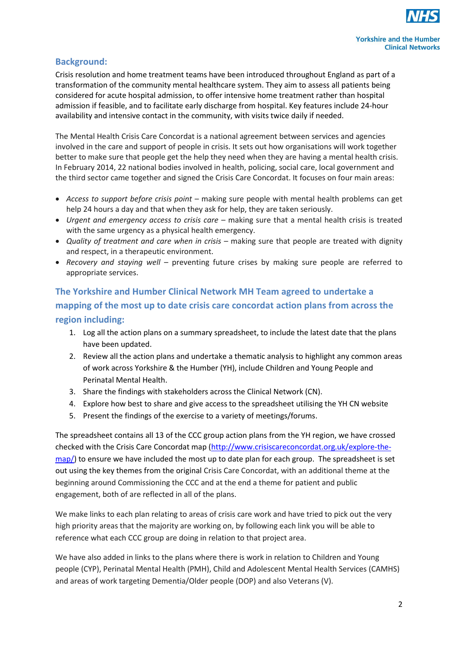

### **Background:**

Crisis resolution and home treatment teams have been introduced throughout England as part of a transformation of the community mental healthcare system. They aim to assess all patients being considered for acute hospital admission, to offer intensive home treatment rather than hospital admission if feasible, and to facilitate early discharge from hospital. Key features include 24-hour availability and intensive contact in the community, with visits twice daily if needed.

The Mental Health Crisis Care Concordat is a national agreement between services and agencies involved in the care and support of people in crisis. It sets out how organisations will work together better to make sure that people get the help they need when they are having a mental health crisis. In February 2014, 22 national bodies involved in health, policing, social care, local government and the third sector came together and signed the Crisis Care Concordat. It focuses on four main areas:

- *Access to support before crisis point* making sure people with mental health problems can get help 24 hours a day and that when they ask for help, they are taken seriously.
- *Urgent and emergency access to crisis care* making sure that a mental health crisis is treated with the same urgency as a physical health emergency.
- *Quality of treatment and care when in crisis* making sure that people are treated with dignity and respect, in a therapeutic environment.
- *Recovery and staying well* preventing future crises by making sure people are referred to appropriate services.

## **The Yorkshire and Humber Clinical Network MH Team agreed to undertake a mapping of the most up to date crisis care concordat action plans from across the region including:**

- 1. Log all the action plans on a summary spreadsheet, to include the latest date that the plans have been updated.
- 2. Review all the action plans and undertake a thematic analysis to highlight any common areas of work across Yorkshire & the Humber (YH), include Children and Young People and Perinatal Mental Health.
- 3. Share the findings with stakeholders across the Clinical Network (CN).
- 4. Explore how best to share and give access to the spreadsheet utilising the YH CN website
- 5. Present the findings of the exercise to a variety of meetings/forums.

The spreadsheet contains all 13 of the CCC group action plans from the YH region, we have crossed checked with the Crisis Care Concordat map [\(http://www.crisiscareconcordat.org.uk/explore-the](http://www.crisiscareconcordat.org.uk/explore-the-map/)[map/\)](http://www.crisiscareconcordat.org.uk/explore-the-map/) to ensure we have included the most up to date plan for each group. The spreadsheet is set out using the key themes from the original Crisis Care Concordat, with an additional theme at the beginning around Commissioning the CCC and at the end a theme for patient and public engagement, both of are reflected in all of the plans.

We make links to each plan relating to areas of crisis care work and have tried to pick out the very high priority areas that the majority are working on, by following each link you will be able to reference what each CCC group are doing in relation to that project area.

We have also added in links to the plans where there is work in relation to Children and Young people (CYP), Perinatal Mental Health (PMH), Child and Adolescent Mental Health Services (CAMHS) and areas of work targeting Dementia/Older people (DOP) and also Veterans (V).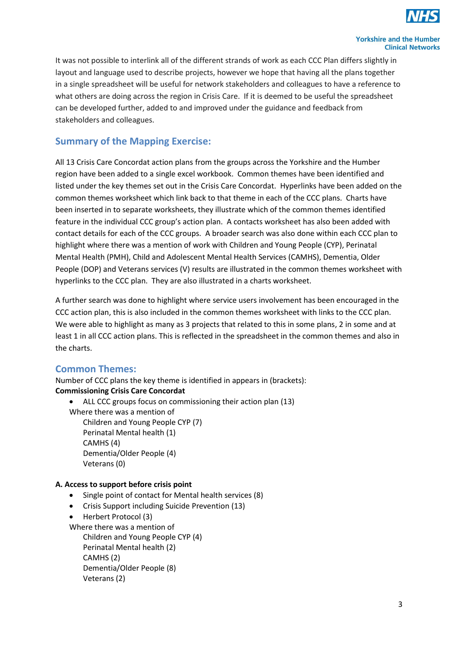

It was not possible to interlink all of the different strands of work as each CCC Plan differs slightly in layout and language used to describe projects, however we hope that having all the plans together in a single spreadsheet will be useful for network stakeholders and colleagues to have a reference to what others are doing across the region in Crisis Care. If it is deemed to be useful the spreadsheet can be developed further, added to and improved under the guidance and feedback from stakeholders and colleagues.

## **Summary of the Mapping Exercise:**

All 13 Crisis Care Concordat action plans from the groups across the Yorkshire and the Humber region have been added to a single excel workbook. Common themes have been identified and listed under the key themes set out in the Crisis Care Concordat. Hyperlinks have been added on the common themes worksheet which link back to that theme in each of the CCC plans. Charts have been inserted in to separate worksheets, they illustrate which of the common themes identified feature in the individual CCC group's action plan. A contacts worksheet has also been added with contact details for each of the CCC groups. A broader search was also done within each CCC plan to highlight where there was a mention of work with Children and Young People (CYP), Perinatal Mental Health (PMH), Child and Adolescent Mental Health Services (CAMHS), Dementia, Older People (DOP) and Veterans services (V) results are illustrated in the common themes worksheet with hyperlinks to the CCC plan. They are also illustrated in a charts worksheet.

A further search was done to highlight where service users involvement has been encouraged in the CCC action plan, this is also included in the common themes worksheet with links to the CCC plan. We were able to highlight as many as 3 projects that related to this in some plans, 2 in some and at least 1 in all CCC action plans. This is reflected in the spreadsheet in the common themes and also in the charts.

## **Common Themes:**

Number of CCC plans the key theme is identified in appears in (brackets): **Commissioning Crisis Care Concordat**

ALL CCC groups focus on commissioning their action plan (13)

Where there was a mention of Children and Young People CYP (7) Perinatal Mental health (1)

> CAMHS (4) Dementia/Older People (4) Veterans (0)

#### **A. Access to support before crisis point**

- Single point of contact for Mental health services (8)
- Crisis Support including Suicide Prevention (13)
- Herbert Protocol (3)

Where there was a mention of

Children and Young People CYP (4) Perinatal Mental health (2) CAMHS (2) Dementia/Older People (8) Veterans (2)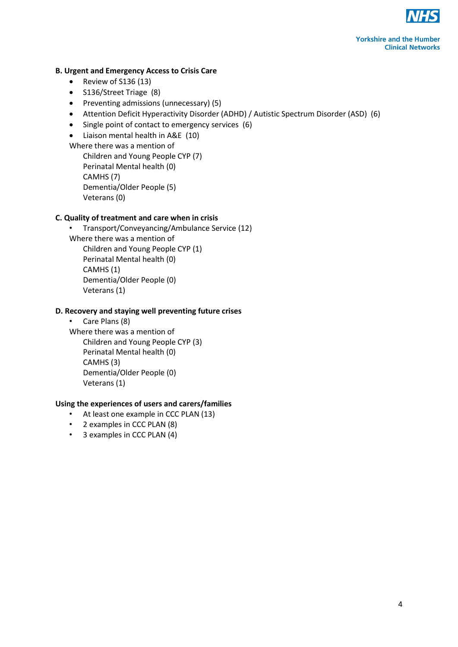

#### **B. Urgent and Emergency Access to Crisis Care**

- Review of S136 (13)
- S136/Street Triage (8)
- Preventing admissions (unnecessary) (5)
- Attention Deficit Hyperactivity Disorder (ADHD) / Autistic Spectrum Disorder (ASD) (6)
- Single point of contact to emergency services (6)
- Liaison mental health in A&E (10)

Where there was a mention of Children and Young People CYP (7) Perinatal Mental health (0) CAMHS (7) Dementia/Older People (5) Veterans (0)

#### **C. Quality of treatment and care when in crisis**

• Transport/Conveyancing/Ambulance Service (12) Where there was a mention of Children and Young People CYP (1) Perinatal Mental health (0) CAMHS (1) Dementia/Older People (0) Veterans (1)

#### **D. Recovery and staying well preventing future crises**

• Care Plans (8) Where there was a mention of Children and Young People CYP (3) Perinatal Mental health (0) CAMHS (3) Dementia/Older People (0) Veterans (1)

#### **Using the experiences of users and carers/families**

- At least one example in CCC PLAN (13)
- 2 examples in CCC PLAN (8)
- 3 examples in CCC PLAN (4)